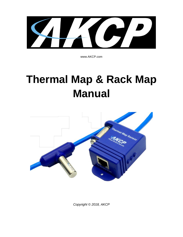**CELLE** 

www.AKCP.com

# **Thermal Map & Rack Map Manual**



*Copyright © 2018, AKCP*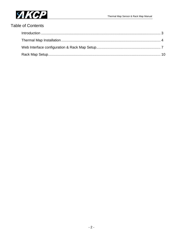

# **Table of Contents**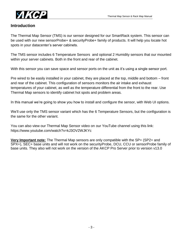

#### **Introduction**

The Thermal Map Sensor (TMS) is our sensor designed for our SmartRack system. This sensor can be used with our new sensorProbe+ & securityProbe+ family of products. It will help you locate hot spots in your datacenter's server cabinets.

The TMS sensor includes 6 Temperature Sensors and optional 2 Humidity sensors that our mounted within your server cabinets. Both in the front and rear of the cabinet.

With this sensor you can save space and sensor ports on the unit as it's using a single sensor port.

Pre wired to be easily installed in your cabinet, they are placed at the top, middle and bottom – front and rear of the cabinet. This configuration of sensors monitors the air intake and exhaust temperatures of your cabinet, as well as the temperature differential from the front to the rear. Use Thermal Map sensors to identify cabinet hot spots and problem areas.

In this manual we're going to show you how to install and configure the sensor, with Web UI options.

We'll use only the TMS sensor variant which has the 6 Temperature Sensors, but the configuration is the same for the other variant.

You can also view our Thermal Map Sensor video on our YouTube channel using this link: https://www.youtube.com/watch?v=kJ3OV2WJKYc

**Very Important note:** The Thermal Map sensors are only compatible with the SP+ (SP2+ and SPX+), SEC+ base units and will not work on the securityProbe, DCU, CCU or sensorProbe family of base units. They also will not work on the version of the AKCP Pro Server prior to version v13.0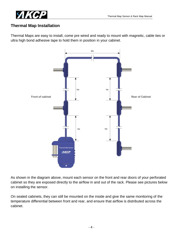

## **Thermal Map Installation**

Thermal Maps are easy to install, come pre wired and ready to mount with magnetic, cable ties or ultra high bond adhesive tape to hold them in position in your cabinet.



As shown in the diagram above, mount each sensor on the front and rear doors of your perforated cabinet so they are exposed directly to the airflow in and out of the rack. Please see pictures below on installing the sensor.

On sealed cabinets, they can still be mounted on the inside and give the same monitoring of the temperature differential between front and rear, and ensure that airflow is distributed across the cabinet.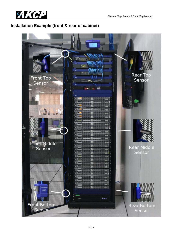

# **Installation Example (front & rear of cabinet)**

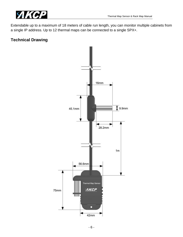

Extendable up to a maximum of 18 meters of cable run length, you can monitor multiple cabinets from a single IP address. Up to 12 thermal maps can be connected to a single SPX+.

## **Technical Drawing**

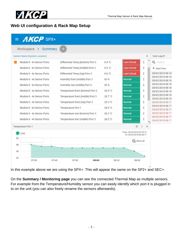

## **Web UI configuration & Rack Map Setup**

| Workspace > Summary                  | $+$                |                                   |         |                     |                                                      |   |                                      |  |
|--------------------------------------|--------------------|-----------------------------------|---------|---------------------|------------------------------------------------------|---|--------------------------------------|--|
| <b>System Name (System Location)</b> |                    |                                   |         |                     |                                                      | × | Host Log #1                          |  |
| Module 0 - 4x Sensor Ports           |                    | Differential Temp (bottom) Port 3 | 0.4 °C  | <b>Low Critical</b> | ŧ                                                    |   | Q Search                             |  |
| Module 0 - 4x Sensor Ports           |                    | Differential Temp (middle) Port 3 | 0.5 °C  | <b>Low Critical</b> | ÷                                                    |   | $\vee$ Date/Time                     |  |
| Module 0 - 4x Sensor Ports           |                    | Differential Temp (top) Port 3    | 0.6 °C  | <b>Low Critical</b> | $\vdots$                                             |   | 29/03/2018 08:19                     |  |
| Module 0 - 4x Sensor Ports           |                    | Humidity front (middle) Port 3    | 63%     | Normal              | ÷                                                    |   | 29/03/2018 08:19<br>29/03/2018 08:19 |  |
| Module 0 - 4x Sensor Ports           |                    | Humidity rear (middle) Port 3     | 63%     | <b>Normal</b>       | ŧ                                                    |   | 29/03/2018 08:18<br>29/03/2018 08:18 |  |
| Module 0 - 4x Sensor Ports           |                    | Temperature front (bottom) Port 3 | 25.9 °C | Normal              | i                                                    |   | 29/03/2018 08:18                     |  |
| Module 0 - 4x Sensor Ports           |                    | Temperature front (middle) Port 3 | 25.7 °C | Normal              | $\vdots$                                             |   | 29/03/2018 08:18<br>29/03/2018 08:18 |  |
| Module 0 - 4x Sensor Ports           |                    | Temperature front (top) Port 3    | 25.3 °C | Normal              | ŧ                                                    |   | 29/03/2018 08:17                     |  |
| Module 0 - 4x Sensor Ports           | Temperature Port 1 |                                   | 24.5 °C | Normal              | ŧ                                                    |   | 29/03/2018 08:17<br>29/03/2018 08:17 |  |
| Module 0 - 4x Sensor Ports           |                    | Temperature rear (bottom) Port 3  | 26.3 °C | Normal              | $\vdots$                                             |   | 29/03/2018 08:17                     |  |
| Module 0 - 4x Sensor Ports           |                    | Temperature rear (middle) Port 3  | 26.2 °C | Normal              | ŧ                                                    |   | 29/03/2018 08:17<br>29/03/2018 08:17 |  |
| Temperature Port 1                   |                    |                                   |         |                     | c<br>÷                                               | × |                                      |  |
| Live                                 |                    |                                   |         |                     | From: 29/03/2018 07:25:12<br>To: 29/03/2018 08:26:11 |   |                                      |  |
| 30                                   |                    |                                   |         |                     | $\Theta$ Show all                                    |   |                                      |  |
| 28                                   |                    |                                   |         |                     |                                                      |   |                                      |  |
| 26                                   |                    |                                   |         |                     |                                                      |   |                                      |  |

In this example above we are using the SPX+. This will appear the same on the SP2+ and SEC+.

On the **Summary / Monitoring page** you can see the connected Thermal Map as multiple sensors. For example from the Temperature/Humidity sensor you can easily identify which port it is plugged in to on the unit (you can also freely rename the sensors afterwards).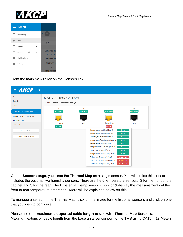

|    | $\equiv$ Menu  |                                                    |
|----|----------------|----------------------------------------------------|
| ∟± | Monitoring     | <u>y</u>                                           |
| ド  | Sensors        | 个 Name                                             |
| E  | <b>Fvents</b>  |                                                    |
|    | Access Control | <b>Differential Ter</b>                            |
| п  | Notifications  | <b>Differential Ter</b><br><b>Differential Ter</b> |
|    | Settings       | <b>Humidity front</b>                              |
|    |                | <b>Humidity rear</b>                               |
|    |                | Temperature f                                      |

From the main menu click on the Sensors link.



On the **Sensors page**, you'll see the **Thermal Map** as a single sensor. You will notice this sensor includes the optional two humidity sensors. There are the 6 temperature sensors, 3 for the front of the cabinet and 3 for the rear. The Differential Temp sensors monitor & display the measurements of the front to rear temperature differential. More will be explained below on this.

To manage a sensor in the Thermal Map, click on the image for the list of all sensors and click on one that you wish to configure.

Please note the **maximum supported cable length to use with Thermal Map Sensors**: Maximum extension cable length from the base units sensor port to the TMS using CAT5 = 18 Meters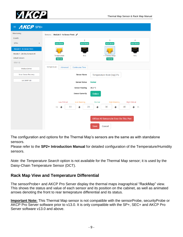

| $\equiv$ <b>AKCP</b> SPX+          |                                                                                                    |
|------------------------------------|----------------------------------------------------------------------------------------------------|
| Monitoring                         | Sensors / Module 0 - 4x Sensor Ports                                                               |
| <b>Boards</b>                      | $\overline{2}$<br>T.<br>3<br>4                                                                     |
| $SPX+$<br>$\overline{\phantom{a}}$ | <b>Auto Sense</b><br><b>Auto Sense</b><br><b>Auto Sense</b><br><b>Auto Sense</b>                   |
| <b>Module 0 - 4x Sensor Ports</b>  |                                                                                                    |
| Module 1 - 20x Dry Contacts IO     | Temperature<br>$\blacktriangleright$ Thermal Map<br>N/C<br>N/C                                     |
| <b>Virtual Sensors</b>             | Normal<br>Normal                                                                                   |
| <b>CCU 1.2</b>                     |                                                                                                    |
| <b>Modbus Device</b>               | Temperature<br>Advanced<br><b>Continuous Time</b>                                                  |
| <b>Smart Sensor Recovery</b>       | <b>Sensor Name</b><br>Temperature front (top) Po                                                   |
| <b>Get SNMP OID</b>                | <b>Sensor Status</b><br><b>Normal</b>                                                              |
|                                    | <b>Sensor Reading</b><br>25.3 °C                                                                   |
|                                    | <b>Sensor Currently</b><br>Online                                                                  |
|                                    | <b>High Critical</b><br><b>Low Critical</b><br><b>Low Warning</b><br><b>High Warning</b><br>Normal |
|                                    | 10<br>20<br>30<br>40<br>$-55$<br>→<br>→<br>→<br>→<br>→<br>75                                       |
|                                    |                                                                                                    |
|                                    | Offline All Sensors In Error On This Port                                                          |
|                                    | Cancel<br><b>Save</b>                                                                              |

The configuration and options for the Thermal Map's sensors are the same as with standalone sensors.

Please refer to the **SP2+ Introduction Manual** for detailed configuration of the Temperature/Humidity sensors.

*Note:* the *Temperature Search* option is not available for the Thermal Map sensor; it is used by the Daisy-Chain Temperature Sensor (DCT).

## **Rack Map View and Temperature Differential**

The sensorProbe+ and AKCP Pro Server display the thermal maps inagraphical "RackMap" view. This shows the status and value of each sensor and its position on the cabinet, as well as animated arrows denoting the front to rear temeprature differential and its status.

**Important Note:** This Thermal Map sensor is not compatible with the sensorProbe, securityProbe or AKCP Pro Server software prior to v13.0. It is only compatible with the SP+, SEC+ and AKCP Pro Server software v13.0 and above.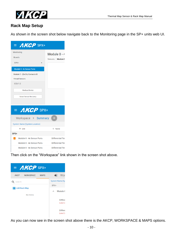

## **Rack Map Setup**

As shown in the screen shot below navigate back to the Monitoring page in the SP+ units web UI.

| $=$ <b>AKCP</b> SPX+                                     |                                    |
|----------------------------------------------------------|------------------------------------|
| Monitoring<br><b>Boards</b>                              | Module 0 - 4<br>Sensors / Module 0 |
| SPX+<br><b>Module 0 - 4x Sensor Ports</b>                |                                    |
| Module 1 - 20x Dry Contacts IO<br><b>Virtual Sensors</b> |                                    |
| <b>CCU 1.2</b>                                           |                                    |
| <b>Modbus Device</b><br><b>Smart Sensor Recovery</b>     |                                    |
| $=$ <b>AKCP</b> SPX+                                     |                                    |
| Workspace > Summary                                      | $\pm$                              |
| <b>System Name (System Location)</b>                     |                                    |
| 个 Unit                                                   | 个 Name                             |
| SPX+                                                     |                                    |
| Module 0 - 4x Sensor Ports<br>- 1                        | <b>Differential Ter</b>            |
| Module 0 - 4x Sensor Ports                               | <b>Differential Ter</b>            |
| Module 0 - 4x Sensor Ports                               | <b>Differential Ter</b>            |
| <b>EXPERIMENT CONTINUES</b>                              | <b>Committee Committee</b>         |

Then click on the "Workspace" link shown in the screen shot above.

| $=$ <b>AKCP</b> SPX+ |           |             |          |                        |
|----------------------|-----------|-------------|----------|------------------------|
| <b>AKCP</b>          | WORKSPACE | <b>MAPS</b> | ←        | Wor                    |
| Q Search             |           |             |          | <b>System Name (Sy</b> |
| Add Rack Map         |           | $SPX+$      |          |                        |
|                      |           | ∼           | Module ( |                        |
|                      | No Items  |             |          |                        |
|                      |           |             |          | Differe                |
|                      |           |             |          | Low Cr                 |
|                      |           |             |          | Differe<br>Low Cr      |

As you can now see in the screen shot above there is the AKCP, WORKSPACE & MAPS options.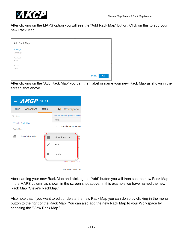

After clicking on the MAPS option you will see the "Add Rack Map" button. Click on this to add your new Rack Map.

| Add Rack Map         |                             |
|----------------------|-----------------------------|
| <b>Rack Map Name</b> |                             |
| RackMap              |                             |
| Front Label          |                             |
| Front                |                             |
| Rear Label           |                             |
| Rear                 |                             |
|                      |                             |
|                      | <b>ADD</b><br><b>CANCEL</b> |

After clicking on the "Add Rack Map" you can then label or name your new Rack Map as shown in the screen shot above.



After naming your new Rack Map and clicking the "Add" button you will then see the new Rack Map in the MAPS column as shown in the screen shot above. In this example we have named the new Rack Map "Steve's RackMap."

Also note that if you want to edit or delete the new Rack Map you can do so by clicking in the menu button to the right of the Rack Map. You can also add the new Rack Map to your Workspace by choosing the "View Rack Map."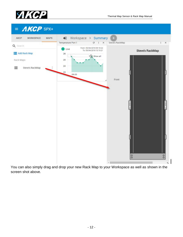



You can also simply drag and drop your new Rack Map to your Workspace as well as shown in the screen shot above.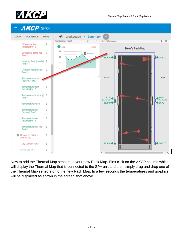





Now to add the Thermal Map sensors to your new Rack Map. First click on the AKCP column which will display the Thermal Map that is connected to the SP+ unit and then simply drag and drop one of the Thermal Map sensors onto the new Rack Map. In a few seconds the temperatures and graphics will be displayed as shown in the screen shot above.